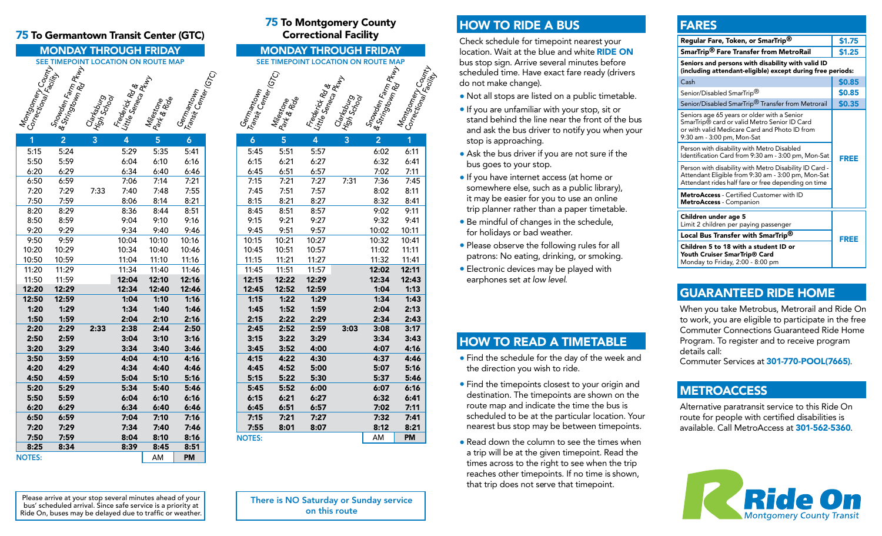#### 75 To Germantown Transit Center (GTC)

# MONDAY THROUGH FRIDAY SEE TIMEPOINT LOCATION ON ROUTE MAP Montgomery County<br>Correctional Facility<br>Snowden Facility<br>& Stringtown Rd <sup>Rtw</sup>y Carksburg<br>High School<br>Frederick Roles<br>Little Sence Ruby<br>Allistone<br>Parist Center (GTC)

| 1             | $\bar{2}$ | 3    | 4     | 5     | 6         |
|---------------|-----------|------|-------|-------|-----------|
| 5:15          | 5:24      |      | 5:29  | 5:35  | 5:41      |
| 5:50          | 5:59      |      | 6:04  | 6:10  | 6:16      |
| 6:20          | 6:29      |      | 6:34  | 6:40  | 6:46      |
| 6:50          | 6:59      |      | 7:06  | 7:14  | 7:21      |
| 7:20          | 7:29      | 7:33 | 7:40  | 7:48  | 7:55      |
| 7:50          | 7:59      |      | 8:06  | 8:14  | 8:21      |
| 8:20          | 8:29      |      | 8:36  | 8:44  | 8:51      |
| 8:50          | 8:59      |      | 9:04  | 9:10  | 9:16      |
| 9:20          | 9:29      |      | 9:34  | 9:40  | 9:46      |
| 9:50          | 9:59      |      | 10:04 | 10:10 | 10:16     |
| 10:20         | 10:29     |      | 10:34 | 10:40 | 10:46     |
| 10:50         | 10:59     |      | 11:04 | 11:10 | 11:16     |
| 11:20         | 11:29     |      | 11:34 | 11:40 | 11:46     |
| 11:50         | 11:59     |      | 12:04 | 12:10 | 12:16     |
| 12:20         | 12:29     |      | 12:34 | 12:40 | 12:46     |
| 12:50         | 12:59     |      | 1:04  | 1:10  | 1:16      |
| 1:20          | 1:29      |      | 1:34  | 1:40  | 1:46      |
| 1:50          | 1:59      |      | 2:04  | 2:10  | 2:16      |
| 2:20          | 2:29      | 2:33 | 2:38  | 2:44  | 2:50      |
| 2:50          | 2:59      |      | 3:04  | 3:10  | 3:16      |
| 3:20          | 3:29      |      | 3:34  | 3:40  | 3:46      |
| 3:50          | 3:59      |      | 4:04  | 4:10  | 4:16      |
| 4:20          | 4:29      |      | 4:34  | 4:40  | 4:46      |
| 4:50          | 4:59      |      | 5:04  | 5:10  | 5:16      |
| 5:20          | 5:29      |      | 5:34  | 5:40  | 5:46      |
| 5:50          | 5:59      |      | 6:04  | 6:10  | 6:16      |
| 6:20          | 6:29      |      | 6:34  | 6:40  | 6:46      |
| 6:50          | 6:59      |      | 7:04  | 7:10  | 7:16      |
| 7:20          | 7:29      |      | 7:34  | 7:40  | 7:46      |
| 7:50          | 7:59      |      | 8:04  | 8:10  | 8:16      |
| 8:25          | 8:34      |      | 8:39  | 8:45  | 8:51      |
| <b>NOTES:</b> |           |      |       | AM    | <b>PM</b> |

#### 75 To Montgomery County Correctional Facility

#### MONDAY THROUGH FRIDAY SEE TIMEPOINT LOCATION ON ROUTE MAP

Germantown<br><sup>Transit Center</sup><br>Miles Milestone<br>Park & Ride Frederick Rd<br>Little Seneca Rd<br>Clarkes Clarksburg<br>High Schurg Snowden Farm<br>& Stringtown Farm Pkwy<br>, Montgomery County<br>Correctional Faci<sub>lity</sub> 6 5 4 3 2 1 NOTES: NOTES: NOTES: NOTES: NOTES: NOTES: NOTES: NOTES: NOTES: NOTES: NOTES: NOTES: NOTES: NOTES: NOTES: NOTES 5:45 5:51 5:57 6:02 6:11 6:15 6:21 6:27 6:32 6:41 6:45 6:51 6:57 7:02 7:11 7:15 7:21 7:27 7:31 7:36 7:45 7:45 7:51 7:57 8:02 8:11 8:15 8:21 8:27 8:32 8:41 8:45 8:51 8:57 9:02 9:11 9:15 9:21 9:27 9:32 9:41 9:45 9:51 9:57 10:02 10:11 10:15 10:21 10:27 10:32 10:41 10:45 10:51 10:57 11:02 11:11 11:15 11:21 11:27 11:32 11:41 11:45 11:51 11:57 12:02 12:11 12:15 12:22 12:29 12:34 12:43 12:45 12:52 12:59 1:04 1:13 1:15 1:22 1:29 1:34 1:43 1:45 1:52 1:59 2:04 2:13 2:15 2:22 2:29 2:34 2:43 2:45 2:52 2:59 3:03 3:08 3:17 3:15 3:22 3:29 3:34 3:43 3:45 3:52 4:00 4:07 4:16 4:15 4:22 4:30 4:37 4:46 4:45 4:52 5:00 5:07 5:16 5:15 5:22 5:30 5:37 5:46 5:45 5:52 6:00 6:07 6:16 6:15 6:21 6:27 6:32 6:41 6:45 6:51 6:57 7:02 7:11 7:15 7:21 7:27 7:32 7:41 7:55 8:01 8:07 8:12 8:21

# HOW TO RIDE A BUS

Check schedule for timepoint nearest your location. Wait at the blue and white RIDE ON bus stop sign. Arrive several minutes before scheduled time. Have exact fare ready (drivers do not make change).

- Not all stops are listed on a public timetable.
- If you are unfamiliar with your stop, sit or stand behind the line near the front of the bus and ask the bus driver to notify you when your stop is approaching.
- Ask the bus driver if you are not sure if the bus goes to your stop.
- If you have internet access (at home or somewhere else, such as a public library), it may be easier for you to use an online trip planner rather than a paper timetable.
- Be mindful of changes in the schedule, for holidays or bad weather.
- Please observe the following rules for all patrons: No eating, drinking, or smoking.
- Electronic devices may be played with earphones set *at low level*.

### HOW TO READ A TIMETABLE

- Find the schedule for the day of the week and the direction you wish to ride.
- Find the timepoints closest to your origin and destination. The timepoints are shown on the route map and indicate the time the bus is scheduled to be at the particular location. Your nearest bus stop may be between timepoints.
- Read down the column to see the times when a trip will be at the given timepoint. Read the times across to the right to see when the trip reaches other timepoints. If no time is shown, that trip does not serve that timepoint.

# FARES

| Regular Fare, Token, or SmarTrip®                                                                                                                                          | \$1.75 |  |  |  |
|----------------------------------------------------------------------------------------------------------------------------------------------------------------------------|--------|--|--|--|
| SmarTrip® Fare Transfer from MetroRail                                                                                                                                     | \$1.25 |  |  |  |
| Seniors and persons with disability with valid ID<br>(including attendant-eligible) except during free periods:                                                            |        |  |  |  |
| Cash                                                                                                                                                                       | \$0.85 |  |  |  |
| Senior/Disabled SmarTrip <sup>®</sup>                                                                                                                                      | \$0.85 |  |  |  |
| Senior/Disabled SmarTrip <sup>®</sup> Transfer from Metrorail                                                                                                              | \$0.35 |  |  |  |
| Seniors age 65 years or older with a Senior<br>SmarTrip® card or valid Metro Senior ID Card<br>or with valid Medicare Card and Photo ID from<br>9:30 am - 3:00 pm, Mon-Sat | FREE   |  |  |  |
| Person with disability with Metro Disabled<br>Identification Card from 9:30 am - 3:00 pm, Mon-Sat                                                                          |        |  |  |  |
| Person with disability with Metro Disability ID Card -<br>Attendant Eligible from 9:30 am - 3:00 pm, Mon-Sat<br>Attendant rides half fare or free depending on time        |        |  |  |  |
| <b>MetroAccess</b> - Certified Customer with ID<br>MetroAccess - Companion                                                                                                 |        |  |  |  |
| Children under age 5<br>Limit 2 children per paying passenger                                                                                                              | FREE   |  |  |  |
| Local Bus Transfer with SmarTrip <sup>®</sup>                                                                                                                              |        |  |  |  |
| Children 5 to 18 with a student ID or<br>Youth Cruiser SmarTrip® Card<br>Monday to Friday, 2:00 - 8:00 pm                                                                  |        |  |  |  |

# GUARANTEED RIDE HOME

When you take Metrobus, Metrorail and Ride On to work, you are eligible to participate in the free Commuter Connections Guaranteed Ride Home Program. To register and to receive program details call:

Commuter Services at 301-770-POOL(7665).

# **METROACCESS**

Alternative paratransit service to this Ride On route for people with certified disabilities is available. Call MetroAccess at 301-562-5360.



Please arrive at your stop several minutes ahead of your bus' scheduled arrival. Since safe service is a priority at Ride On, buses may be delayed due to traffic or weather. There is NO Saturday or Sunday service on this route